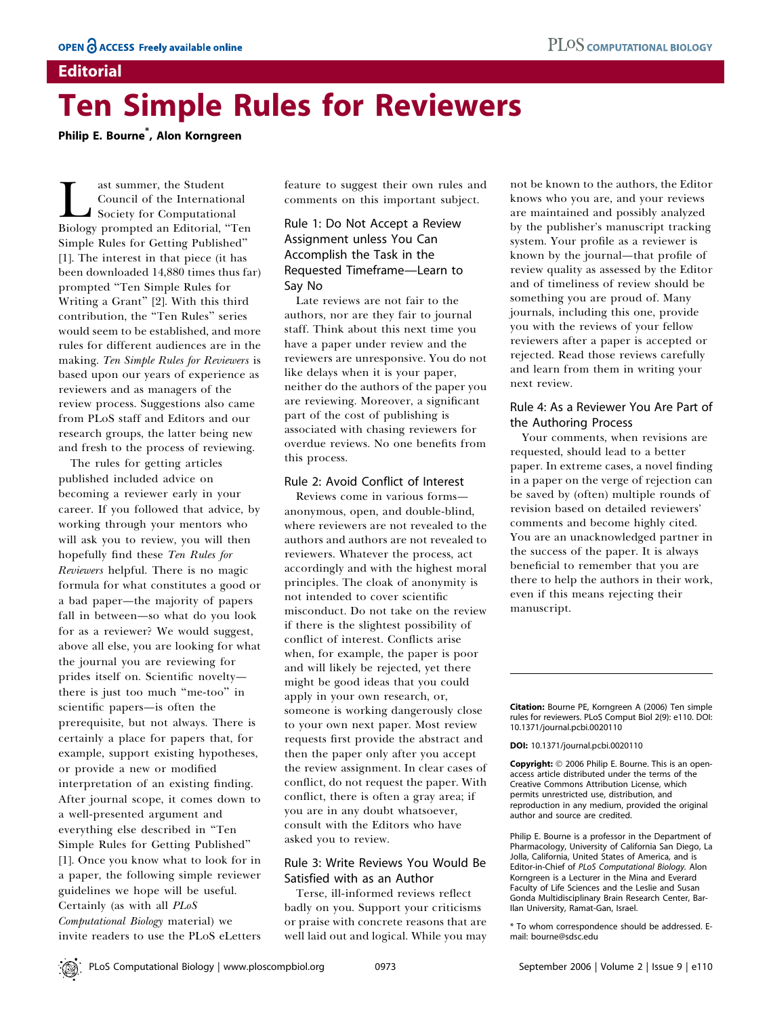# **Editorial**

# Ten Simple Rules for Reviewers

Philip E. Bourne\* , Alon Korngreen

ast summer, the Student<br>Council of the Internation<br>Society for Computation<br>Biology prompted an Editorial. Council of the International Society for Computational Biology prompted an Editorial, ''Ten Simple Rules for Getting Published'' [1]. The interest in that piece (it has been downloaded 14,880 times thus far) prompted ''Ten Simple Rules for Writing a Grant'' [2]. With this third contribution, the ''Ten Rules'' series would seem to be established, and more rules for different audiences are in the making. Ten Simple Rules for Reviewers is based upon our years of experience as reviewers and as managers of the review process. Suggestions also came from PLoS staff and Editors and our research groups, the latter being new and fresh to the process of reviewing.

The rules for getting articles published included advice on becoming a reviewer early in your career. If you followed that advice, by working through your mentors who will ask you to review, you will then hopefully find these Ten Rules for Reviewers helpful. There is no magic formula for what constitutes a good or a bad paper—the majority of papers fall in between—so what do you look for as a reviewer? We would suggest, above all else, you are looking for what the journal you are reviewing for prides itself on. Scientific novelty there is just too much ''me-too'' in scientific papers—is often the prerequisite, but not always. There is certainly a place for papers that, for example, support existing hypotheses, or provide a new or modified interpretation of an existing finding. After journal scope, it comes down to a well-presented argument and everything else described in ''Ten Simple Rules for Getting Published'' [1]. Once you know what to look for in a paper, the following simple reviewer guidelines we hope will be useful. Certainly (as with all PLoS Computational Biology material) we invite readers to use the PLoS eLetters feature to suggest their own rules and comments on this important subject.

# Rule 1: Do Not Accept a Review Assignment unless You Can Accomplish the Task in the Requested Timeframe—Learn to Say No

Late reviews are not fair to the authors, nor are they fair to journal staff. Think about this next time you have a paper under review and the reviewers are unresponsive. You do not like delays when it is your paper, neither do the authors of the paper you are reviewing. Moreover, a significant part of the cost of publishing is associated with chasing reviewers for overdue reviews. No one benefits from this process.

#### Rule 2: Avoid Conflict of Interest

Reviews come in various forms anonymous, open, and double-blind, where reviewers are not revealed to the authors and authors are not revealed to reviewers. Whatever the process, act accordingly and with the highest moral principles. The cloak of anonymity is not intended to cover scientific misconduct. Do not take on the review if there is the slightest possibility of conflict of interest. Conflicts arise when, for example, the paper is poor and will likely be rejected, yet there might be good ideas that you could apply in your own research, or, someone is working dangerously close to your own next paper. Most review requests first provide the abstract and then the paper only after you accept the review assignment. In clear cases of conflict, do not request the paper. With conflict, there is often a gray area; if you are in any doubt whatsoever, consult with the Editors who have asked you to review.

#### Rule 3: Write Reviews You Would Be Satisfied with as an Author

Terse, ill-informed reviews reflect badly on you. Support your criticisms or praise with concrete reasons that are well laid out and logical. While you may not be known to the authors, the Editor knows who you are, and your reviews are maintained and possibly analyzed by the publisher's manuscript tracking system. Your profile as a reviewer is known by the journal—that profile of review quality as assessed by the Editor and of timeliness of review should be something you are proud of. Many journals, including this one, provide you with the reviews of your fellow reviewers after a paper is accepted or rejected. Read those reviews carefully and learn from them in writing your next review.

#### Rule 4: As a Reviewer You Are Part of the Authoring Process

Your comments, when revisions are requested, should lead to a better paper. In extreme cases, a novel finding in a paper on the verge of rejection can be saved by (often) multiple rounds of revision based on detailed reviewers' comments and become highly cited. You are an unacknowledged partner in the success of the paper. It is always beneficial to remember that you are there to help the authors in their work, even if this means rejecting their manuscript.

Citation: Bourne PE, Korngreen A (2006) Ten simple rules for reviewers. PLoS Comput Biol 2(9): e110. DOI: 10.1371/journal.pcbi.0020110

DOI: 10.1371/journal.pcbi.0020110

Copyright: © 2006 Philip E. Bourne. This is an openaccess article distributed under the terms of the Creative Commons Attribution License, which permits unrestricted use, distribution, and reproduction in any medium, provided the original author and source are credited.

Philip E. Bourne is a professor in the Department of Pharmacology, University of California San Diego, La Jolla, California, United States of America, and is Editor-in-Chief of PLoS Computational Biology. Alon Korngreen is a Lecturer in the Mina and Everard Faculty of Life Sciences and the Leslie and Susan Gonda Multidisciplinary Brain Research Center, Bar-Ilan University, Ramat-Gan, Israel.

\* To whom correspondence should be addressed. Email: bourne@sdsc.edu